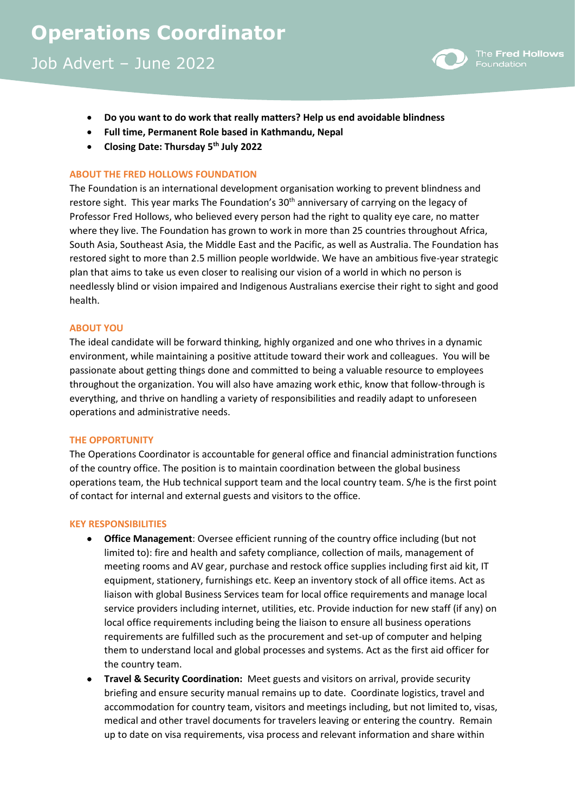Job Advert – June 2022



- **Do you want to do work that really matters? Help us end avoidable blindness**
- **Full time, Permanent Role based in Kathmandu, Nepal**
- **Closing Date: Thursday 5 th July 2022**

## **ABOUT THE FRED HOLLOWS FOUNDATION**

The Foundation is an international development organisation working to prevent blindness and restore sight. This year marks The Foundation's 30<sup>th</sup> anniversary of carrying on the legacy of Professor Fred Hollows, who believed every person had the right to quality eye care, no matter where they live. The Foundation has grown to work in more than 25 countries throughout Africa, South Asia, Southeast Asia, the Middle East and the Pacific, as well as Australia. The Foundation has restored sight to more than 2.5 million people worldwide. We have an ambitious five-year strategic plan that aims to take us even closer to realising our vision of a world in which no person is needlessly blind or vision impaired and Indigenous Australians exercise their right to sight and good health.

### **ABOUT YOU**

The ideal candidate will be forward thinking, highly organized and one who thrives in a dynamic environment, while maintaining a positive attitude toward their work and colleagues. You will be passionate about getting things done and committed to being a valuable resource to employees throughout the organization. You will also have amazing work ethic, know that follow-through is everything, and thrive on handling a variety of responsibilities and readily adapt to unforeseen operations and administrative needs.

### **THE OPPORTUNITY**

The Operations Coordinator is accountable for general office and financial administration functions of the country office. The position is to maintain coordination between the global business operations team, the Hub technical support team and the local country team. S/he is the first point of contact for internal and external guests and visitors to the office.

### **KEY RESPONSIBILITIES**

- **Office Management**: Oversee efficient running of the country office including (but not limited to): fire and health and safety compliance, collection of mails, management of meeting rooms and AV gear, purchase and restock office supplies including first aid kit, IT equipment, stationery, furnishings etc. Keep an inventory stock of all office items. Act as liaison with global Business Services team for local office requirements and manage local service providers including internet, utilities, etc. Provide induction for new staff (if any) on local office requirements including being the liaison to ensure all business operations requirements are fulfilled such as the procurement and set-up of computer and helping them to understand local and global processes and systems. Act as the first aid officer for the country team.
- **Travel & Security Coordination:** Meet guests and visitors on arrival, provide security briefing and ensure security manual remains up to date. Coordinate logistics, travel and accommodation for country team, visitors and meetings including, but not limited to, visas, medical and other travel documents for travelers leaving or entering the country. Remain up to date on visa requirements, visa process and relevant information and share within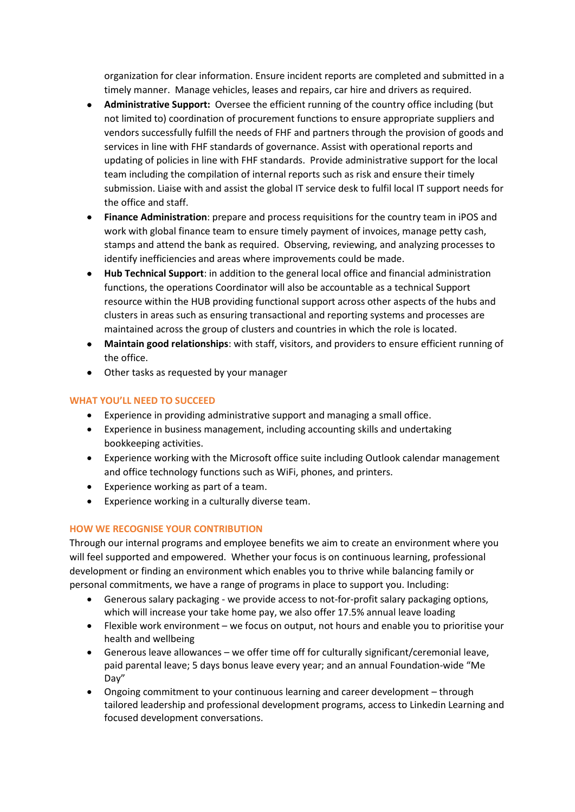organization for clear information. Ensure incident reports are completed and submitted in a timely manner. Manage vehicles, leases and repairs, car hire and drivers as required.

- **Administrative Support:** Oversee the efficient running of the country office including (but not limited to) coordination of procurement functions to ensure appropriate suppliers and vendors successfully fulfill the needs of FHF and partners through the provision of goods and services in line with FHF standards of governance. Assist with operational reports and updating of policies in line with FHF standards. Provide administrative support for the local team including the compilation of internal reports such as risk and ensure their timely submission. Liaise with and assist the global IT service desk to fulfil local IT support needs for the office and staff.
- **Finance Administration**: prepare and process requisitions for the country team in iPOS and work with global finance team to ensure timely payment of invoices, manage petty cash, stamps and attend the bank as required. Observing, reviewing, and analyzing processes to identify inefficiencies and areas where improvements could be made.
- **Hub Technical Support**: in addition to the general local office and financial administration functions, the operations Coordinator will also be accountable as a technical Support resource within the HUB providing functional support across other aspects of the hubs and clusters in areas such as ensuring transactional and reporting systems and processes are maintained across the group of clusters and countries in which the role is located.
- **Maintain good relationships**: with staff, visitors, and providers to ensure efficient running of the office.
- Other tasks as requested by your manager

# **WHAT YOU'LL NEED TO SUCCEED**

- Experience in providing administrative support and managing a small office.
- Experience in business management, including accounting skills and undertaking bookkeeping activities.
- Experience working with the Microsoft office suite including Outlook calendar management and office technology functions such as WiFi, phones, and printers.
- Experience working as part of a team.
- Experience working in a culturally diverse team.

## **HOW WE RECOGNISE YOUR CONTRIBUTION**

Through our internal programs and employee benefits we aim to create an environment where you will feel supported and empowered. Whether your focus is on continuous learning, professional development or finding an environment which enables you to thrive while balancing family or personal commitments, we have a range of programs in place to support you. Including:

- Generous salary packaging we provide access to not-for-profit salary packaging options, which will increase your take home pay, we also offer 17.5% annual leave loading
- Flexible work environment we focus on output, not hours and enable you to prioritise your health and wellbeing
- Generous leave allowances we offer time off for culturally significant/ceremonial leave, paid parental leave; 5 days bonus leave every year; and an annual Foundation-wide "Me Day"
- Ongoing commitment to your continuous learning and career development through tailored leadership and professional development programs, access to Linkedin Learning and focused development conversations.